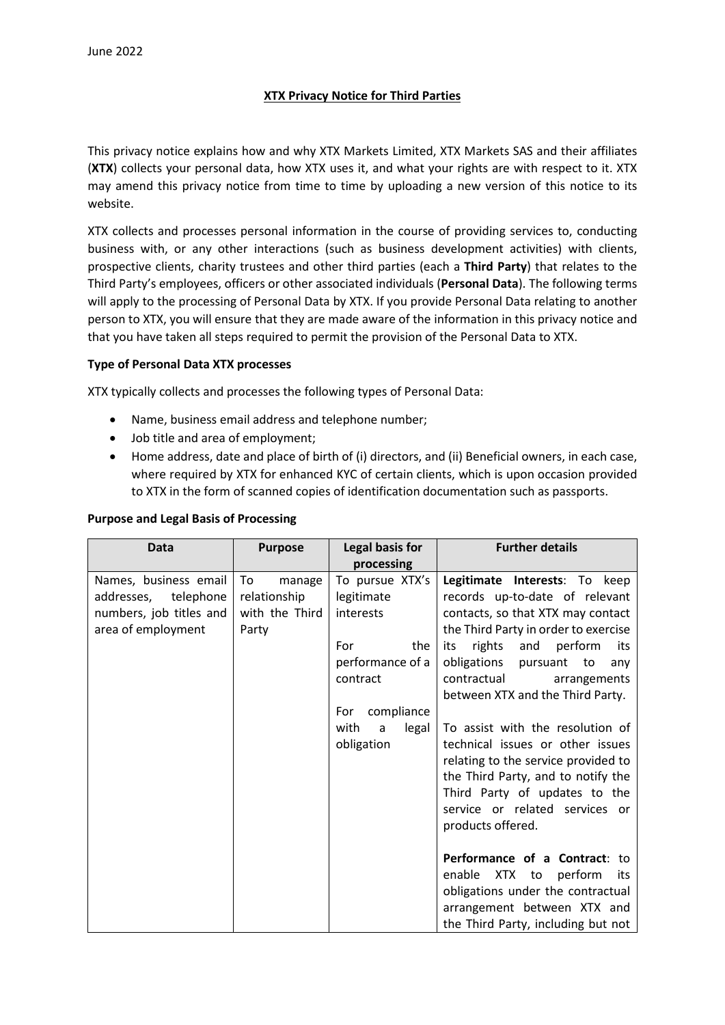# **XTX Privacy Notice for Third Parties**

This privacy notice explains how and why XTX Markets Limited, XTX Markets SAS and their affiliates (**XTX**) collects your personal data, how XTX uses it, and what your rights are with respect to it. XTX may amend this privacy notice from time to time by uploading a new version of this notice to its website.

XTX collects and processes personal information in the course of providing services to, conducting business with, or any other interactions (such as business development activities) with clients, prospective clients, charity trustees and other third parties (each a **Third Party**) that relates to the Third Party's employees, officers or other associated individuals (**Personal Data**). The following terms will apply to the processing of Personal Data by XTX. If you provide Personal Data relating to another person to XTX, you will ensure that they are made aware of the information in this privacy notice and that you have taken all steps required to permit the provision of the Personal Data to XTX.

## **Type of Personal Data XTX processes**

XTX typically collects and processes the following types of Personal Data:

- Name, business email address and telephone number;
- Job title and area of employment;
- Home address, date and place of birth of (i) directors, and (ii) Beneficial owners, in each case, where required by XTX for enhanced KYC of certain clients, which is upon occasion provided to XTX in the form of scanned copies of identification documentation such as passports.

| <b>Purpose and Legal Basis of Processing</b> |  |  |  |  |  |  |
|----------------------------------------------|--|--|--|--|--|--|
|----------------------------------------------|--|--|--|--|--|--|

| <b>Data</b>             | <b>Purpose</b> | <b>Legal basis for</b> | <b>Further details</b>                 |
|-------------------------|----------------|------------------------|----------------------------------------|
|                         |                | processing             |                                        |
| Names, business email   | To<br>manage   | To pursue XTX's        | Legitimate Interests: To keep          |
| addresses, telephone    | relationship   | legitimate             | records up-to-date of relevant         |
| numbers, job titles and | with the Third | interests              | contacts, so that XTX may contact      |
| area of employment      | Party          |                        | the Third Party in order to exercise   |
|                         |                | the<br>For             | rights<br>perform<br>and<br>its<br>its |
|                         |                | performance of a       | obligations<br>pursuant to<br>any      |
|                         |                | contract               | contractual<br>arrangements            |
|                         |                |                        | between XTX and the Third Party.       |
|                         |                | compliance<br>For      |                                        |
|                         |                | with<br>legal<br>a     | To assist with the resolution of       |
|                         |                | obligation             | technical issues or other issues       |
|                         |                |                        | relating to the service provided to    |
|                         |                |                        | the Third Party, and to notify the     |
|                         |                |                        | Third Party of updates to the          |
|                         |                |                        | service or related services or         |
|                         |                |                        | products offered.                      |
|                         |                |                        |                                        |
|                         |                |                        | Performance of a Contract: to          |
|                         |                |                        | enable<br>XTX to<br>perform<br>its     |
|                         |                |                        | obligations under the contractual      |
|                         |                |                        | arrangement between XTX and            |
|                         |                |                        | the Third Party, including but not     |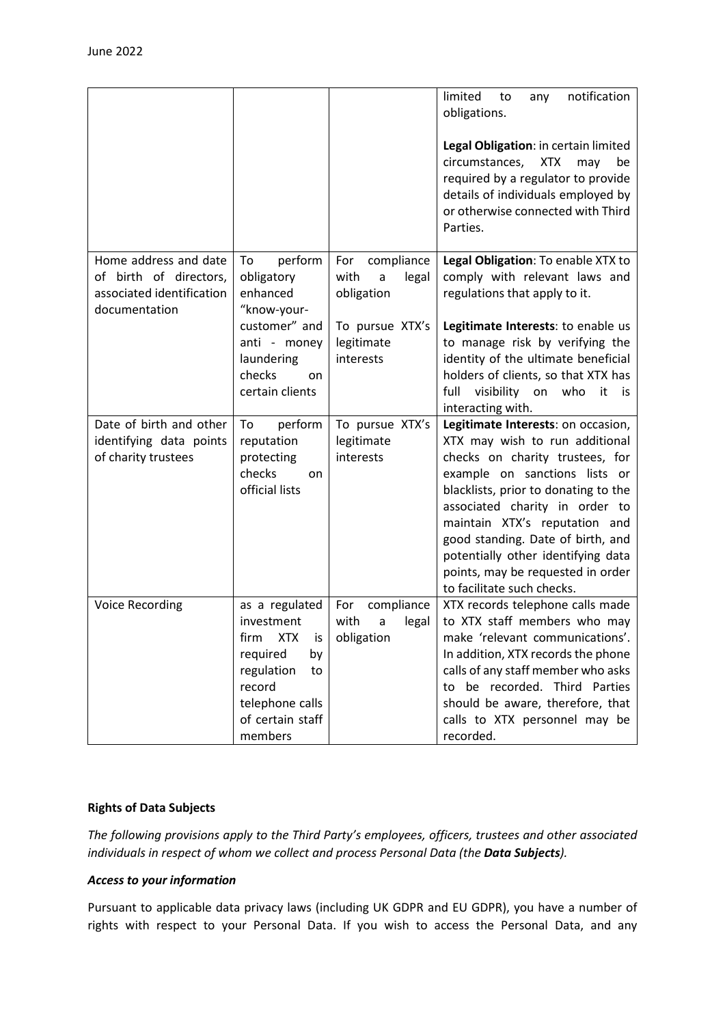|                                                                                               |                                                                                                                                                 |                                                       | notification<br>limited<br>any<br>to<br>obligations.                                                                                                                                                                                                                                                                                                                                              |
|-----------------------------------------------------------------------------------------------|-------------------------------------------------------------------------------------------------------------------------------------------------|-------------------------------------------------------|---------------------------------------------------------------------------------------------------------------------------------------------------------------------------------------------------------------------------------------------------------------------------------------------------------------------------------------------------------------------------------------------------|
|                                                                                               |                                                                                                                                                 |                                                       | Legal Obligation: in certain limited<br>circumstances,<br><b>XTX</b><br>may<br>be<br>required by a regulator to provide<br>details of individuals employed by<br>or otherwise connected with Third<br>Parties.                                                                                                                                                                                    |
| Home address and date<br>of birth of directors,<br>associated identification<br>documentation | perform<br>To<br>obligatory<br>enhanced<br>"know-your-                                                                                          | compliance<br>For<br>with<br>legal<br>a<br>obligation | Legal Obligation: To enable XTX to<br>comply with relevant laws and<br>regulations that apply to it.                                                                                                                                                                                                                                                                                              |
|                                                                                               | customer" and<br>anti - money<br>laundering<br>checks<br>on<br>certain clients                                                                  | To pursue XTX's<br>legitimate<br>interests            | Legitimate Interests: to enable us<br>to manage risk by verifying the<br>identity of the ultimate beneficial<br>holders of clients, so that XTX has<br>visibility on<br>full<br>who<br>it<br>is<br>interacting with.                                                                                                                                                                              |
| Date of birth and other<br>identifying data points<br>of charity trustees                     | perform<br>To<br>reputation<br>protecting<br>checks<br>on<br>official lists                                                                     | To pursue XTX's<br>legitimate<br>interests            | Legitimate Interests: on occasion,<br>XTX may wish to run additional<br>checks on charity trustees, for<br>example on sanctions lists or<br>blacklists, prior to donating to the<br>associated charity in order to<br>maintain XTX's reputation and<br>good standing. Date of birth, and<br>potentially other identifying data<br>points, may be requested in order<br>to facilitate such checks. |
| <b>Voice Recording</b>                                                                        | as a regulated<br>investment<br><b>XTX</b><br>firm<br>is<br>required<br>by<br>regulation<br>to<br>record<br>telephone calls<br>of certain staff | For<br>compliance<br>with<br>legal<br>a<br>obligation | XTX records telephone calls made<br>to XTX staff members who may<br>make 'relevant communications'.<br>In addition, XTX records the phone<br>calls of any staff member who asks<br>to be recorded. Third Parties<br>should be aware, therefore, that                                                                                                                                              |

## **Rights of Data Subjects**

*The following provisions apply to the Third Party's employees, officers, trustees and other associated individuals in respect of whom we collect and process Personal Data (the Data Subjects).*

### *Access to your information*

Pursuant to applicable data privacy laws (including UK GDPR and EU GDPR), you have a number of rights with respect to your Personal Data. If you wish to access the Personal Data, and any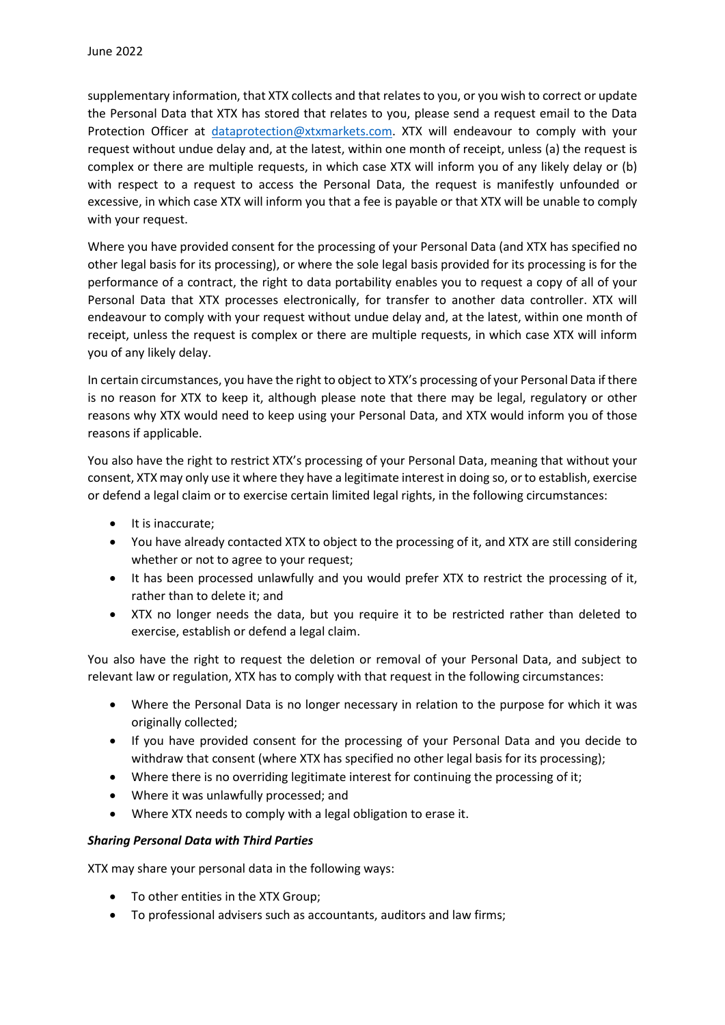supplementary information, that XTX collects and that relates to you, or you wish to correct or update the Personal Data that XTX has stored that relates to you, please send a request email to the Data Protection Officer at [dataprotection@xtxmarkets.com.](mailto:dataprotection@xtxmarkets.com) XTX will endeavour to comply with your request without undue delay and, at the latest, within one month of receipt, unless (a) the request is complex or there are multiple requests, in which case XTX will inform you of any likely delay or (b) with respect to a request to access the Personal Data, the request is manifestly unfounded or excessive, in which case XTX will inform you that a fee is payable or that XTX will be unable to comply with your request.

Where you have provided consent for the processing of your Personal Data (and XTX has specified no other legal basis for its processing), or where the sole legal basis provided for its processing is for the performance of a contract, the right to data portability enables you to request a copy of all of your Personal Data that XTX processes electronically, for transfer to another data controller. XTX will endeavour to comply with your request without undue delay and, at the latest, within one month of receipt, unless the request is complex or there are multiple requests, in which case XTX will inform you of any likely delay.

In certain circumstances, you have the right to object to XTX's processing of your Personal Data if there is no reason for XTX to keep it, although please note that there may be legal, regulatory or other reasons why XTX would need to keep using your Personal Data, and XTX would inform you of those reasons if applicable.

You also have the right to restrict XTX's processing of your Personal Data, meaning that without your consent, XTX may only use it where they have a legitimate interest in doing so, or to establish, exercise or defend a legal claim or to exercise certain limited legal rights, in the following circumstances:

- It is inaccurate;
- You have already contacted XTX to object to the processing of it, and XTX are still considering whether or not to agree to your request;
- It has been processed unlawfully and you would prefer XTX to restrict the processing of it, rather than to delete it; and
- XTX no longer needs the data, but you require it to be restricted rather than deleted to exercise, establish or defend a legal claim.

You also have the right to request the deletion or removal of your Personal Data, and subject to relevant law or regulation, XTX has to comply with that request in the following circumstances:

- Where the Personal Data is no longer necessary in relation to the purpose for which it was originally collected;
- If you have provided consent for the processing of your Personal Data and you decide to withdraw that consent (where XTX has specified no other legal basis for its processing);
- Where there is no overriding legitimate interest for continuing the processing of it;
- Where it was unlawfully processed; and
- Where XTX needs to comply with a legal obligation to erase it.

## *Sharing Personal Data with Third Parties*

XTX may share your personal data in the following ways:

- To other entities in the XTX Group;
- To professional advisers such as accountants, auditors and law firms;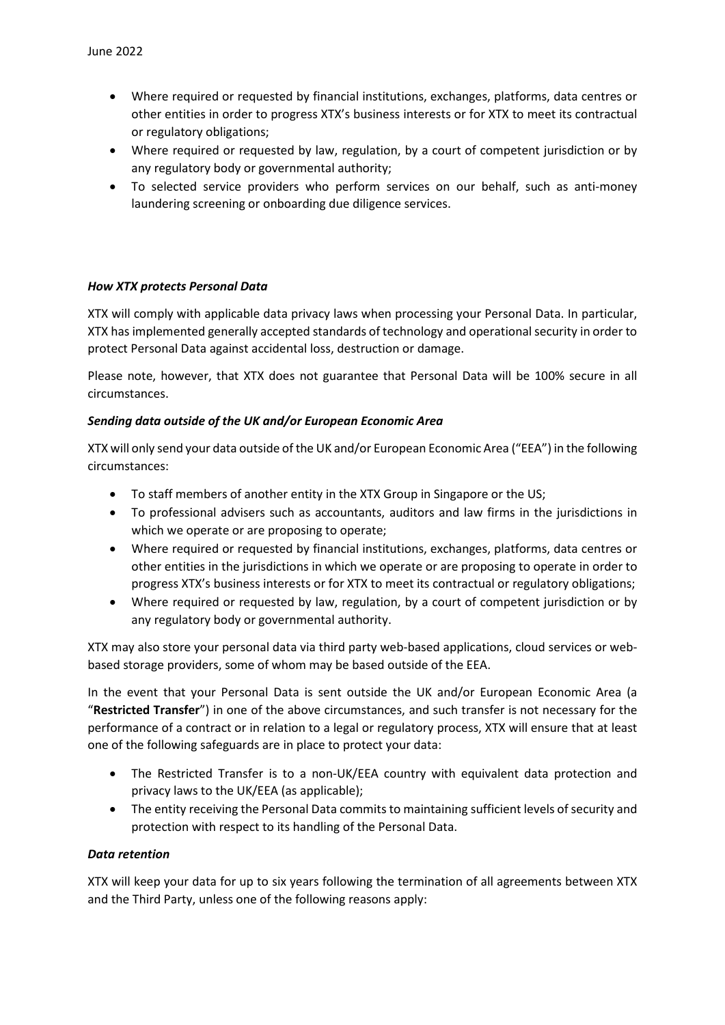- Where required or requested by financial institutions, exchanges, platforms, data centres or other entities in order to progress XTX's business interests or for XTX to meet its contractual or regulatory obligations;
- Where required or requested by law, regulation, by a court of competent jurisdiction or by any regulatory body or governmental authority;
- To selected service providers who perform services on our behalf, such as anti-money laundering screening or onboarding due diligence services.

## *How XTX protects Personal Data*

XTX will comply with applicable data privacy laws when processing your Personal Data. In particular, XTX has implemented generally accepted standards of technology and operational security in order to protect Personal Data against accidental loss, destruction or damage.

Please note, however, that XTX does not guarantee that Personal Data will be 100% secure in all circumstances.

#### *Sending data outside of the UK and/or European Economic Area*

XTX will only send your data outside of the UK and/or European Economic Area ("EEA") in the following circumstances:

- To staff members of another entity in the XTX Group in Singapore or the US;
- To professional advisers such as accountants, auditors and law firms in the jurisdictions in which we operate or are proposing to operate;
- Where required or requested by financial institutions, exchanges, platforms, data centres or other entities in the jurisdictions in which we operate or are proposing to operate in order to progress XTX's business interests or for XTX to meet its contractual or regulatory obligations;
- Where required or requested by law, regulation, by a court of competent jurisdiction or by any regulatory body or governmental authority.

XTX may also store your personal data via third party web-based applications, cloud services or webbased storage providers, some of whom may be based outside of the EEA.

In the event that your Personal Data is sent outside the UK and/or European Economic Area (a "**Restricted Transfer**") in one of the above circumstances, and such transfer is not necessary for the performance of a contract or in relation to a legal or regulatory process, XTX will ensure that at least one of the following safeguards are in place to protect your data:

- The Restricted Transfer is to a non-UK/EEA country with equivalent data protection and privacy laws to the UK/EEA (as applicable);
- The entity receiving the Personal Data commits to maintaining sufficient levels of security and protection with respect to its handling of the Personal Data.

#### *Data retention*

XTX will keep your data for up to six years following the termination of all agreements between XTX and the Third Party, unless one of the following reasons apply: